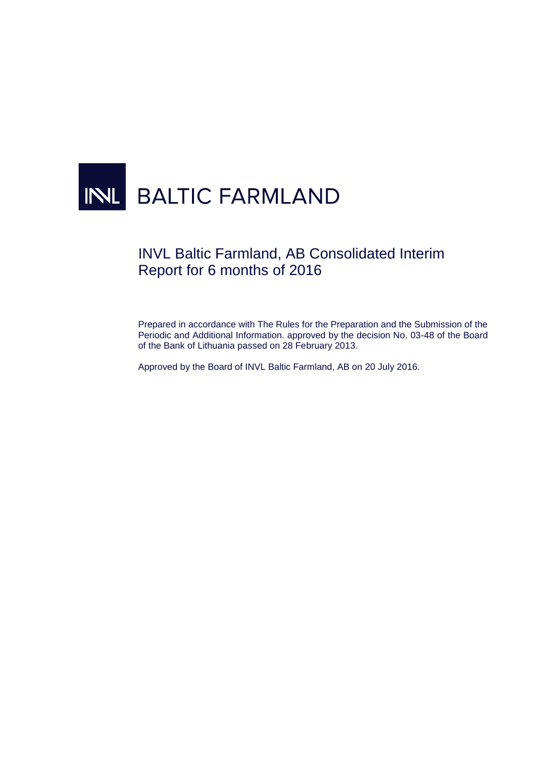# INL BALTIC FARMLAND

# INVL Baltic Farmland, AB Consolidated Interim Report for 6 months of 2016

Prepared in accordance with The Rules for the Preparation and the Submission of the Periodic and Additional Information. approved by the decision No. 03-48 of the Board of the Bank of Lithuania passed on 28 February 2013.

Approved by the Board of INVL Baltic Farmland, AB on 20 July 2016.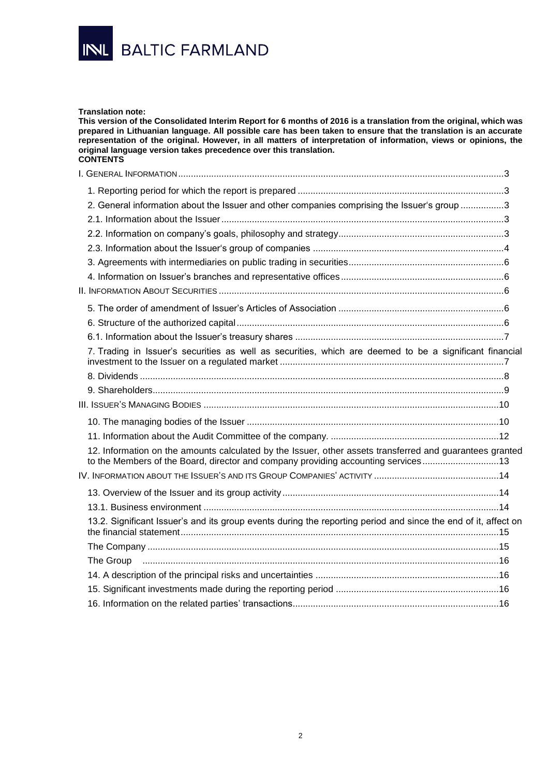

#### **Translation note:**

**This version of the Consolidated Interim Report for 6 months of 2016 is a translation from the original, which was prepared in Lithuanian language. All possible care has been taken to ensure that the translation is an accurate representation of the original. However, in all matters of interpretation of information, views or opinions, the original language version takes precedence over this translation. CONTENTS**

| 2. General information about the Issuer and other companies comprising the Issuer's group 3                                                                                                   |  |
|-----------------------------------------------------------------------------------------------------------------------------------------------------------------------------------------------|--|
|                                                                                                                                                                                               |  |
|                                                                                                                                                                                               |  |
|                                                                                                                                                                                               |  |
|                                                                                                                                                                                               |  |
|                                                                                                                                                                                               |  |
|                                                                                                                                                                                               |  |
|                                                                                                                                                                                               |  |
|                                                                                                                                                                                               |  |
|                                                                                                                                                                                               |  |
| 7. Trading in Issuer's securities as well as securities, which are deemed to be a significant financial                                                                                       |  |
|                                                                                                                                                                                               |  |
|                                                                                                                                                                                               |  |
|                                                                                                                                                                                               |  |
|                                                                                                                                                                                               |  |
|                                                                                                                                                                                               |  |
| 12. Information on the amounts calculated by the Issuer, other assets transferred and guarantees granted<br>to the Members of the Board, director and company providing accounting services13 |  |
|                                                                                                                                                                                               |  |
|                                                                                                                                                                                               |  |
|                                                                                                                                                                                               |  |
| 13.2. Significant Issuer's and its group events during the reporting period and since the end of it, affect on                                                                                |  |
|                                                                                                                                                                                               |  |
|                                                                                                                                                                                               |  |
|                                                                                                                                                                                               |  |
|                                                                                                                                                                                               |  |
|                                                                                                                                                                                               |  |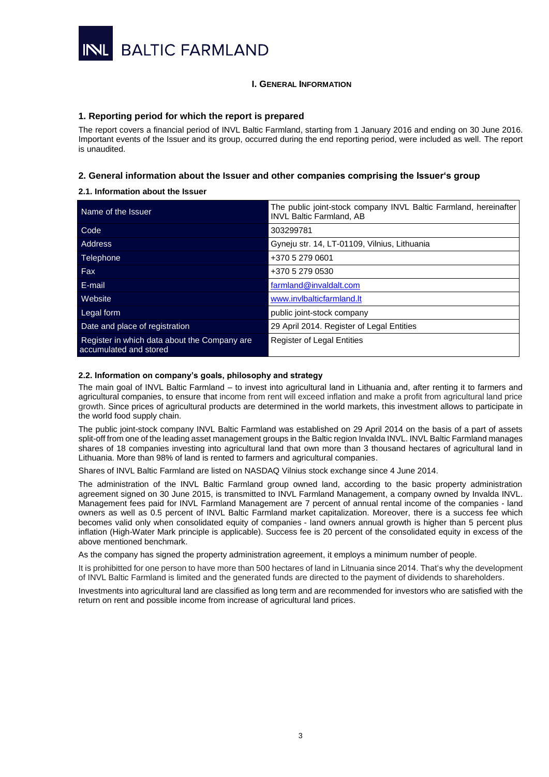

### <span id="page-2-0"></span>**I. GENERAL INFORMATION**

#### <span id="page-2-1"></span>**1. Reporting period for which the report is prepared**

The report covers a financial period of INVL Baltic Farmland, starting from 1 January 2016 and ending on 30 June 2016. Important events of the Issuer and its group, occurred during the end reporting period, were included as well. The report is unaudited.

# <span id="page-2-2"></span>**2. General information about the Issuer and other companies comprising the Issuer's group**

#### <span id="page-2-3"></span>**2.1. Information about the Issuer**

| Name of the Issuer                                                     | The public joint-stock company INVL Baltic Farmland, hereinafter<br><b>INVL Baltic Farmland, AB</b> |
|------------------------------------------------------------------------|-----------------------------------------------------------------------------------------------------|
| Code                                                                   | 303299781                                                                                           |
| Address                                                                | Gyneju str. 14, LT-01109, Vilnius, Lithuania                                                        |
| Telephone                                                              | +370 5 279 0601                                                                                     |
| Fax                                                                    | +370 5 279 0530                                                                                     |
| E-mail                                                                 | farmland@invaldalt.com                                                                              |
| Website                                                                | www.invlbalticfarmland.lt                                                                           |
| Legal form                                                             | public joint-stock company                                                                          |
| Date and place of registration                                         | 29 April 2014. Register of Legal Entities                                                           |
| Register in which data about the Company are<br>accumulated and stored | <b>Register of Legal Entities</b>                                                                   |

#### <span id="page-2-4"></span>**2.2. Information on company's goals, philosophy and strategy**

The main goal of INVL Baltic Farmland – to invest into agricultural land in Lithuania and, after renting it to farmers and agricultural companies, to ensure that income from rent will exceed inflation and make a profit from agricultural land price growth. Since prices of agricultural products are determined in the world markets, this investment allows to participate in the world food supply chain.

The public joint-stock company INVL Baltic Farmland was established on 29 April 2014 on the basis of a part of assets split-off from one of the leading asset management groups in the Baltic region Invalda INVL. INVL Baltic Farmland manages shares of 18 companies investing into agricultural land that own more than 3 thousand hectares of agricultural land in Lithuania. More than 98% of land is rented to farmers and agricultural companies.

Shares of INVL Baltic Farmland are listed on NASDAQ Vilnius stock exchange since 4 June 2014.

The administration of the INVL Baltic Farmland group owned land, according to the basic property administration agreement signed on 30 June 2015, is transmitted to INVL Farmland Management, a company owned by Invalda INVL. Management fees paid for INVL Farmland Management are 7 percent of annual rental income of the companies - land owners as well as 0.5 percent of INVL Baltic Farmland market capitalization. Moreover, there is a success fee which becomes valid only when consolidated equity of companies - land owners annual growth is higher than 5 percent plus inflation (High-Water Mark principle is applicable). Success fee is 20 percent of the consolidated equity in excess of the above mentioned benchmark.

As the company has signed the property administration agreement, it employs a minimum number of people.

It is prohibitted for one person to have more than 500 hectares of land in Litnuania since 2014. That's why the development of INVL Baltic Farmland is limited and the generated funds are directed to the payment of dividends to shareholders.

Investments into agricultural land are classified as long term and are recommended for investors who are satisfied with the return on rent and possible income from increase of agricultural land prices.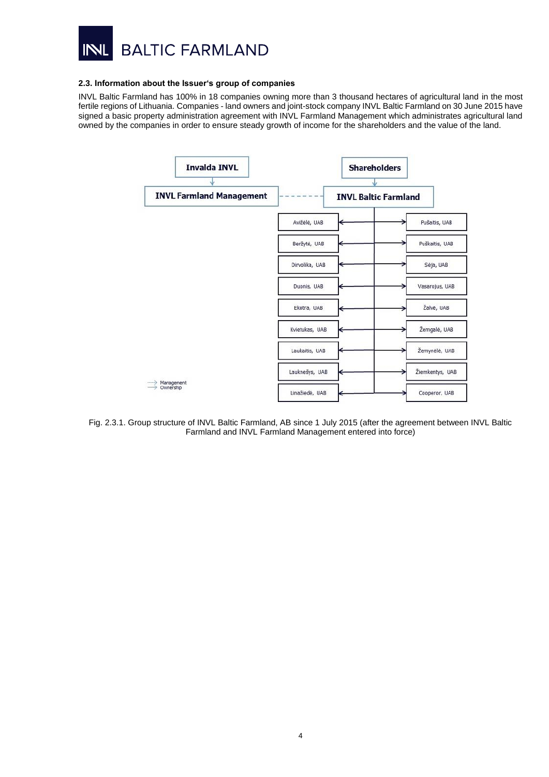

#### <span id="page-3-0"></span>**2.3. Information about the Issuer's group of companies**

INVL Baltic Farmland has 100% in 18 companies owning more than 3 thousand hectares of agricultural land in the most fertile regions of Lithuania. Companies - land owners and joint-stock company INVL Baltic Farmland on 30 June 2015 have signed a basic property administration agreement with INVL Farmland Management which administrates agricultural land owned by the companies in order to ensure steady growth of income for the shareholders and the value of the land.

| <b>Invalda INVL</b>             |                | <b>Shareholders</b>         |                 |
|---------------------------------|----------------|-----------------------------|-----------------|
| <b>INVL Farmland Management</b> |                | <b>INVL Baltic Farmland</b> |                 |
|                                 | Avižėlė, UAB   |                             | Pušaitis, UAB   |
|                                 | Beržytė, UAB   |                             | Puškaitis, UAB  |
|                                 | Dirvolika, UAB |                             | Séja, UAB       |
|                                 | Duonis, UAB    |                             | Vasarojus, UAB  |
|                                 | Ekotra, UAB    |                             | Žalvė, UAB      |
|                                 | Kvietukas, UAB |                             | Žemgalė, UAB    |
|                                 | Laukaitis, UAB |                             | Žemynėlė, UAB   |
|                                 | Lauknešys, UAB |                             | Žiemkentys, UAB |
| Management<br>Ownership         | Linažiedė, UAB |                             | Cooperor, UAB   |

Fig. 2.3.1. Group structure of INVL Baltic Farmland, AB since 1 July 2015 (after the agreement between INVL Baltic Farmland and INVL Farmland Management entered into force)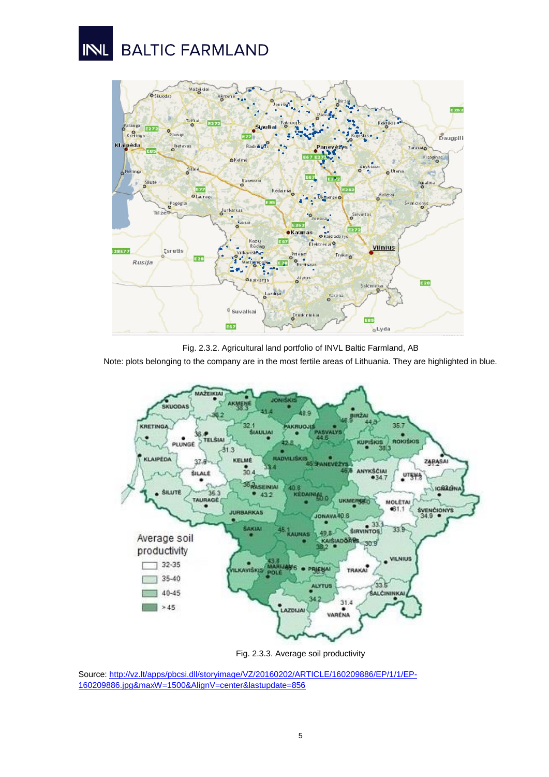# **BALTIC FARMLAND** INL



Fig. 2.3.2. Agricultural land portfolio of INVL Baltic Farmland, AB

Note: plots belonging to the company are in the most fertile areas of Lithuania. They are highlighted in blue.



Fig. 2.3.3. Average soil productivity

Source[: http://vz.lt/apps/pbcsi.dll/storyimage/VZ/20160202/ARTICLE/160209886/EP/1/1/EP-](http://vz.lt/apps/pbcsi.dll/storyimage/VZ/20160202/ARTICLE/160209886/EP/1/1/EP-160209886.jpg&maxW=1500&AlignV=center&lastupdate=856)[160209886.jpg&maxW=1500&AlignV=center&lastupdate=856](http://vz.lt/apps/pbcsi.dll/storyimage/VZ/20160202/ARTICLE/160209886/EP/1/1/EP-160209886.jpg&maxW=1500&AlignV=center&lastupdate=856)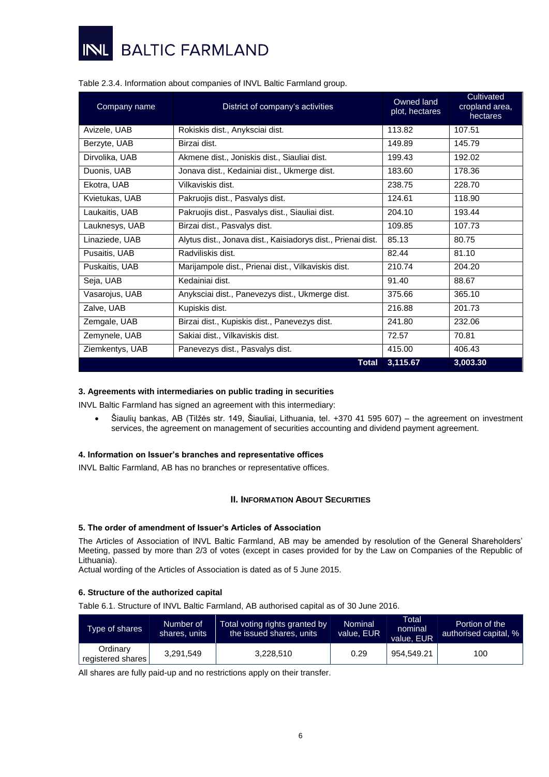

| Company name    | District of company's activities                             | Owned land<br>plot, hectares | Cultivated<br>cropland area,<br>hectares |
|-----------------|--------------------------------------------------------------|------------------------------|------------------------------------------|
| Avizele, UAB    | Rokiskis dist., Anyksciai dist.                              | 113.82                       | 107.51                                   |
| Berzyte, UAB    | Birzai dist.                                                 | 149.89                       | 145.79                                   |
| Dirvolika, UAB  | Akmene dist., Joniskis dist., Siauliai dist.                 | 199.43                       | 192.02                                   |
| Duonis, UAB     | Jonava dist., Kedainiai dist., Ukmerge dist.                 | 183.60                       | 178.36                                   |
| Ekotra, UAB     | Vilkaviskis dist.                                            | 238.75                       | 228.70                                   |
| Kvietukas, UAB  | Pakruojis dist., Pasvalys dist.                              | 124.61                       | 118.90                                   |
| Laukaitis, UAB  | Pakruojis dist., Pasvalys dist., Siauliai dist.              | 204.10                       | 193.44                                   |
| Lauknesys, UAB  | Birzai dist., Pasvalys dist.                                 | 109.85                       | 107.73                                   |
| Linaziede, UAB  | Alytus dist., Jonava dist., Kaisiadorys dist., Prienai dist. | 85.13                        | 80.75                                    |
| Pusaitis, UAB   | Radviliskis dist.                                            | 82.44                        | 81.10                                    |
| Puskaitis, UAB  | Marijampole dist., Prienai dist., Vilkaviskis dist.          | 210.74                       | 204.20                                   |
| Seja, UAB       | Kedainiai dist.                                              | 91.40                        | 88.67                                    |
| Vasarojus, UAB  | Anyksciai dist., Panevezys dist., Ukmerge dist.              | 375.66                       | 365.10                                   |
| Zalve, UAB      | Kupiskis dist.                                               | 216.88                       | 201.73                                   |
| Zemgale, UAB    | Birzai dist., Kupiskis dist., Panevezys dist.                | 241.80                       | 232.06                                   |
| Zemynele, UAB   | Sakiai dist., Vilkaviskis dist.                              | 72.57                        | 70.81                                    |
| Ziemkentys, UAB | Panevezys dist., Pasvalys dist.                              | 415.00                       | 406.43                                   |
|                 | <b>Total</b>                                                 | 3,115.67                     | 3,003.30                                 |

# Table 2.3.4. Information about companies of INVL Baltic Farmland group.

### <span id="page-5-0"></span>**3. Agreements with intermediaries on public trading in securities**

INVL Baltic Farmland has signed an agreement with this intermediary:

 Šiaulių bankas, AB (Tilžės str. 149, Šiauliai, Lithuania, tel. +370 41 595 607) – the agreement on investment services, the agreement on management of securities accounting and dividend payment agreement.

### <span id="page-5-1"></span>**4. Information on Issuer's branches and representative offices**

<span id="page-5-2"></span>INVL Baltic Farmland, AB has no branches or representative offices.

#### **II. INFORMATION ABOUT SECURITIES**

#### <span id="page-5-3"></span>**5. The order of amendment of Issuer's Articles of Association**

The Articles of Association of INVL Baltic Farmland, AB may be amended by resolution of the General Shareholders' Meeting, passed by more than 2/3 of votes (except in cases provided for by the Law on Companies of the Republic of Lithuania).

Actual wording of the Articles of Association is dated as of 5 June 2015.

#### <span id="page-5-4"></span>**6. Structure of the authorized capital**

Table 6.1. Structure of INVL Baltic Farmland, AB authorised capital as of 30 June 2016.

| Type of shares                | Number of<br>shares, units | Total voting rights granted by<br>the issued shares, units | <b>Nominal</b><br>value, EUR | Total<br>nominal<br>value. EUR | Portion of the<br>authorised capital, % |
|-------------------------------|----------------------------|------------------------------------------------------------|------------------------------|--------------------------------|-----------------------------------------|
| Ordinary<br>registered shares | 3.291.549                  | 3,228,510                                                  | 0.29                         | 954.549.21                     | 100                                     |

All shares are fully paid-up and no restrictions apply on their transfer.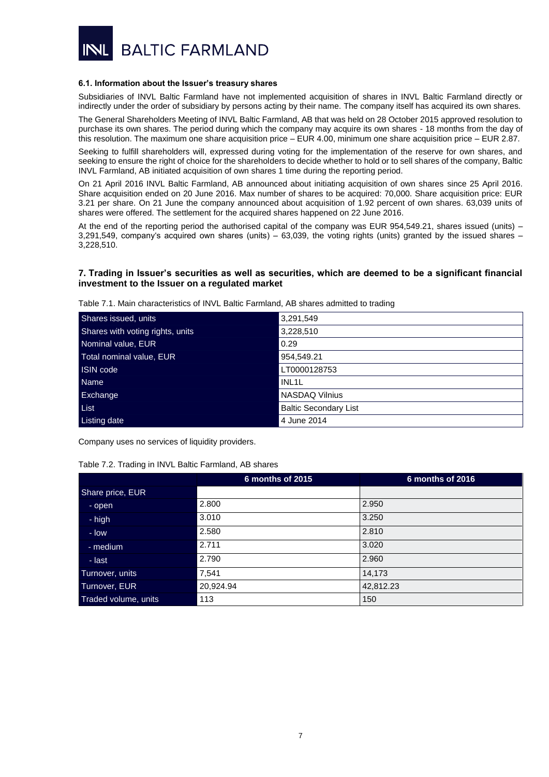

#### <span id="page-6-0"></span>**6.1. Information about the Issuer's treasury shares**

Subsidiaries of INVL Baltic Farmland have not implemented acquisition of shares in INVL Baltic Farmland directly or indirectly under the order of subsidiary by persons acting by their name. The company itself has acquired its own shares.

The General Shareholders Meeting of INVL Baltic Farmland, AB that was held on 28 October 2015 approved resolution to purchase its own shares. The period during which the company may acquire its own shares - 18 months from the day of this resolution. The maximum one share acquisition price – EUR 4.00, minimum one share acquisition price – EUR 2.87.

Seeking to fulfill shareholders will, expressed during voting for the implementation of the reserve for own shares, and seeking to ensure the right of choice for the shareholders to decide whether to hold or to sell shares of the company, Baltic INVL Farmland, AB initiated acquisition of own shares 1 time during the reporting period.

On 21 April 2016 INVL Baltic Farmland, AB announced about initiating acquisition of own shares since 25 April 2016. Share acquisition ended on 20 June 2016. Max number of shares to be acquired: 70,000. Share acquisition price: EUR 3.21 per share. On 21 June the company announced about acquisition of 1.92 percent of own shares. 63,039 units of shares were offered. The settlement for the acquired shares happened on 22 June 2016.

At the end of the reporting period the authorised capital of the company was EUR 954,549.21, shares issued (units) – 3,291,549, company's acquired own shares (units) – 63,039, the voting rights (units) granted by the issued shares – 3,228,510.

# <span id="page-6-1"></span>**7. Trading in Issuer's securities as well as securities, which are deemed to be a significant financial investment to the Issuer on a regulated market**

Table 7.1. Main characteristics of INVL Baltic Farmland, AB shares admitted to trading

| Shares issued, units             | 3,291,549                    |
|----------------------------------|------------------------------|
| Shares with voting rights, units | 3,228,510                    |
| Nominal value, EUR               | 0.29                         |
| Total nominal value, EUR         | 954,549.21                   |
| ISIN code                        | LT0000128753                 |
| <b>Name</b>                      | INL <sub>1</sub> L           |
| Exchange                         | <b>NASDAQ Vilnius</b>        |
| List                             | <b>Baltic Secondary List</b> |
| Listing date                     | 4 June 2014                  |

Company uses no services of liquidity providers.

Table 7.2. Trading in INVL Baltic Farmland, AB shares

|                      | 6 months of 2015 | 6 months of 2016 |
|----------------------|------------------|------------------|
| Share price, EUR     |                  |                  |
| - open               | 2.800            | 2.950            |
| - high               | 3.010            | 3.250            |
| - low                | 2.580            | 2.810            |
| $-$ medium           | 2.711            | 3.020            |
| - last               | 2.790            | 2.960            |
| Turnover, units      | 7,541            | 14,173           |
| Turnover, EUR        | 20,924.94        | 42,812.23        |
| Traded volume, units | 113              | 150              |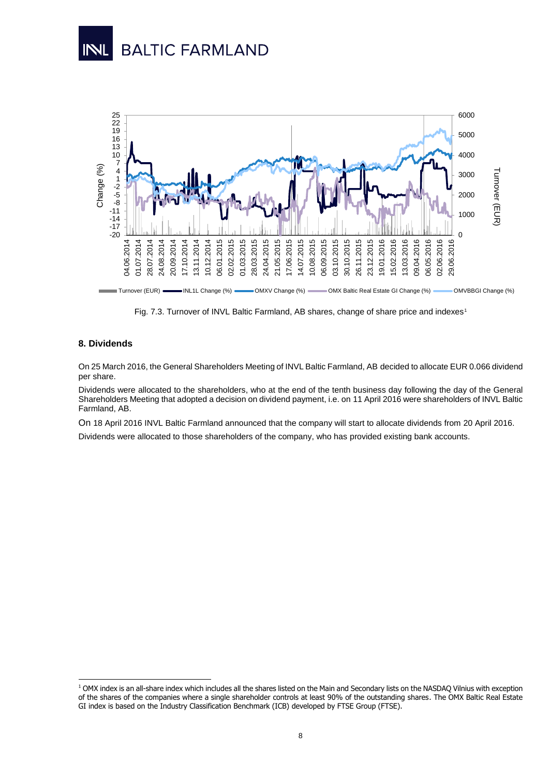



Fig. 7.3. Turnover of INVL Baltic Farmland, AB shares, change of share price and indexes<sup>1</sup>

# <span id="page-7-0"></span>**8. Dividends**

1

On 25 March 2016, the General Shareholders Meeting of INVL Baltic Farmland, AB decided to allocate EUR 0.066 dividend per share.

Dividends were allocated to the shareholders, who at the end of the tenth business day following the day of the General Shareholders Meeting that adopted a decision on dividend payment, i.e. on 11 April 2016 were shareholders of INVL Baltic Farmland, AB.

On 18 April 2016 [INVL Baltic Farmland announced](https://newsclient.omxgroup.com/cdsPublic/viewDisclosure.action?disclosureId=655675&messageId=815585) that the company will start to allocate dividends from 20 April 2016.

Dividends were allocated to those shareholders of the company, who has provided existing bank accounts.

<sup>&</sup>lt;sup>1</sup> OMX index is an all-share index which includes all the shares listed on the Main and Secondary lists on the NASDAQ Vilnius with exception of the shares of the companies where a single shareholder controls at least 90% of the outstanding shares. The OMX Baltic Real Estate GI index is based on the Industry Classification Benchmark (ICB) developed by FTSE Group (FTSE).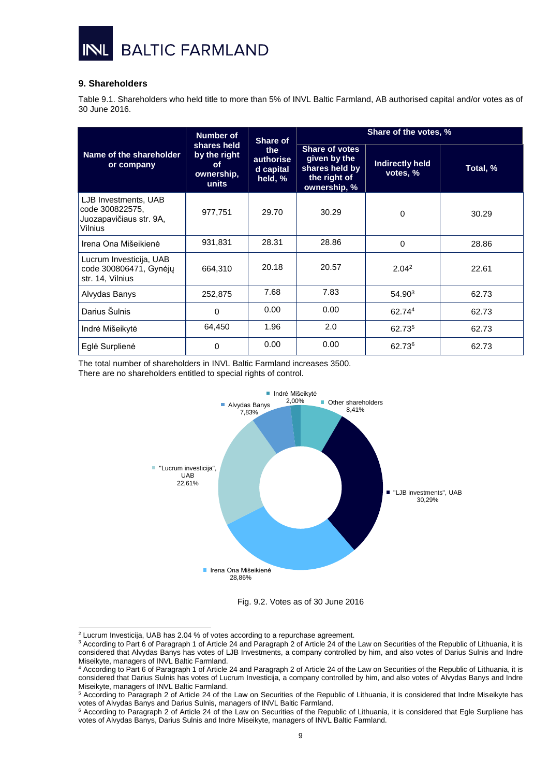

# <span id="page-8-0"></span>**9. Shareholders**

Table 9.1. Shareholders who held title to more than 5% of INVL Baltic Farmland, AB authorised capital and/or votes as of 30 June 2016.

|                                                                               | <b>Number of</b>                                                                                     | Share of | Share of the votes, %                                                                   |                                    |          |
|-------------------------------------------------------------------------------|------------------------------------------------------------------------------------------------------|----------|-----------------------------------------------------------------------------------------|------------------------------------|----------|
| Name of the shareholder<br>or company                                         | shares held<br>the<br>by the right<br>authorise<br>οf<br>d capital<br>ownership,<br>held, %<br>units |          | <b>Share of votes</b><br>given by the<br>shares held by<br>the right of<br>ownership, % | <b>Indirectly held</b><br>votes, % | Total, % |
| LJB Investments, UAB<br>code 300822575,<br>Juozapavičiaus str. 9A.<br>Vilnius | 977,751                                                                                              | 29.70    | 30.29                                                                                   | 0                                  | 30.29    |
| Irena Ona Mišeikienė                                                          | 931,831                                                                                              | 28.31    | 28.86                                                                                   | 0                                  | 28.86    |
| Lucrum Investicija, UAB<br>code 300806471, Gynėjų<br>str. 14, Vilnius         | 664,310                                                                                              | 20.18    | 20.57                                                                                   | 2.04 <sup>2</sup>                  | 22.61    |
| Alvydas Banys                                                                 | 252,875                                                                                              | 7.68     | 7.83                                                                                    | 54.90 <sup>3</sup>                 | 62.73    |
| Darius Šulnis                                                                 | 0                                                                                                    | 0.00     | 0.00                                                                                    | 62.744                             | 62.73    |
| Indrė Mišeikytė                                                               | 64,450                                                                                               | 1.96     | 2.0                                                                                     | 62.735                             | 62.73    |
| Eglė Surplienė                                                                | 0                                                                                                    | 0.00     | 0.00                                                                                    | 62.73 <sup>6</sup>                 | 62.73    |

The total number of shareholders in INVL Baltic Farmland increases 3500. There are no shareholders entitled to special rights of control.



Fig. 9.2. Votes as of 30 June 2016

-

 $2$  Lucrum Investicija, UAB has 2.04 % of votes according to a repurchase agreement.

<sup>&</sup>lt;sup>3</sup> According to Part 6 of Paragraph 1 of Article 24 and Paragraph 2 of Article 24 of the Law on Securities of the Republic of Lithuania, it is considered that Alvydas Banys has votes of LJB Investments, a company controlled by him, and also votes of Darius Sulnis and Indre Miseikyte, managers of INVL Baltic Farmland.

<sup>4</sup> According to Part 6 of Paragraph 1 of Article 24 and Paragraph 2 of Article 24 of the Law on Securities of the Republic of Lithuania, it is considered that Darius Sulnis has votes of Lucrum Investicija, a company controlled by him, and also votes of Alvydas Banys and Indre Miseikyte, managers of INVL Baltic Farmland.

<sup>5</sup> According to Paragraph 2 of Article 24 of the Law on Securities of the Republic of Lithuania, it is considered that Indre Miseikyte has votes of Alvydas Banys and Darius Sulnis, managers of INVL Baltic Farmland.

<sup>&</sup>lt;sup>6</sup> According to Paragraph 2 of Article 24 of the Law on Securities of the Republic of Lithuania, it is considered that Egle Surpliene has votes of Alvydas Banys, Darius Sulnis and Indre Miseikyte, managers of INVL Baltic Farmland.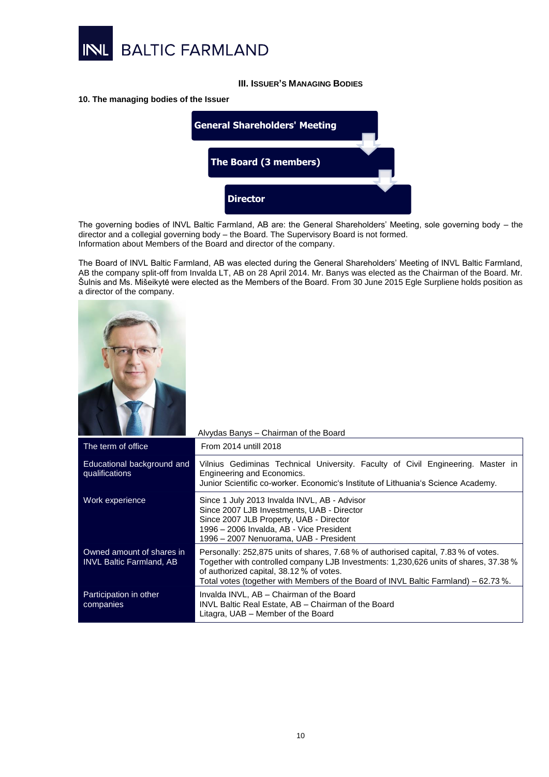

# **III. ISSUER'S MANAGING BODIES**

#### <span id="page-9-1"></span><span id="page-9-0"></span>**10. The managing bodies of the Issuer**



The governing bodies of INVL Baltic Farmland, AB are: the General Shareholders' Meeting, sole governing body – the director and a collegial governing body – the Board. The Supervisory Board is not formed. Information about Members of the Board and director of the company.

The Board of INVL Baltic Farmland, AB was elected during the General Shareholders' Meeting of INVL Baltic Farmland, AB the company split-off from Invalda LT, AB on 28 April 2014. Mr. Banys was elected as the Chairman of the Board. Mr. Šulnis and Ms. Mišeikytė were elected as the Members of the Board. From 30 June 2015 Egle Surpliene holds position as a director of the company.



|                                                              | Alvydas Banys - Chairman of the Board                                                                                                                                                                                                                                                                          |
|--------------------------------------------------------------|----------------------------------------------------------------------------------------------------------------------------------------------------------------------------------------------------------------------------------------------------------------------------------------------------------------|
| The term of office                                           | From 2014 untill 2018                                                                                                                                                                                                                                                                                          |
| Educational background and<br>qualifications                 | Vilnius Gediminas Technical University. Faculty of Civil Engineering. Master in<br>Engineering and Economics.<br>Junior Scientific co-worker. Economic's Institute of Lithuania's Science Academy.                                                                                                             |
| Work experience                                              | Since 1 July 2013 Invalda INVL, AB - Advisor<br>Since 2007 LJB Investments, UAB - Director<br>Since 2007 JLB Property, UAB - Director<br>1996 - 2006 Invalda, AB - Vice President<br>1996 - 2007 Nenuorama, UAB - President                                                                                    |
| Owned amount of shares in<br><b>INVL Baltic Farmland, AB</b> | Personally: 252,875 units of shares, 7.68 % of authorised capital, 7.83 % of votes.<br>Together with controlled company LJB Investments: 1,230,626 units of shares, 37.38 %<br>of authorized capital, 38.12 % of votes.<br>Total votes (together with Members of the Board of INVL Baltic Farmland) – 62.73 %. |
| Participation in other<br>companies                          | Invalda INVL, AB - Chairman of the Board<br>INVL Baltic Real Estate, AB - Chairman of the Board<br>Litagra, UAB - Member of the Board                                                                                                                                                                          |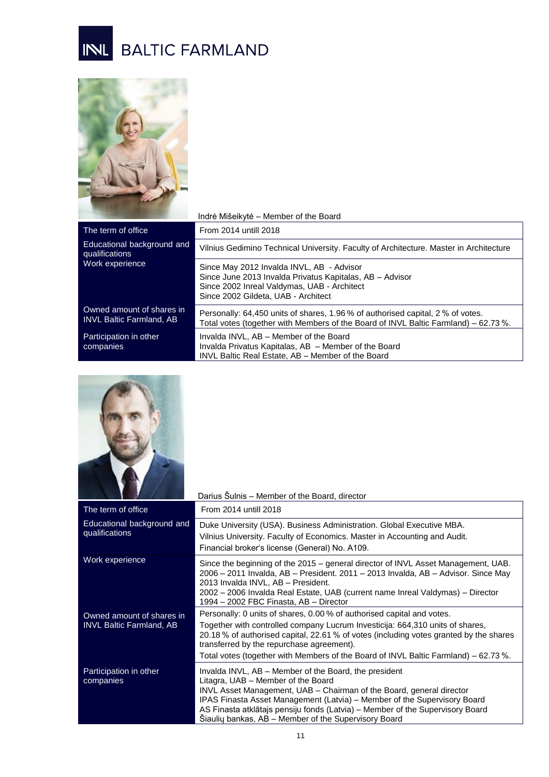# INL BALTIC FARMLAND



|                                                              | Indrė Mišeikytė – Member of the Board                                                                                                                                                       |
|--------------------------------------------------------------|---------------------------------------------------------------------------------------------------------------------------------------------------------------------------------------------|
| The term of office                                           | From 2014 untill 2018                                                                                                                                                                       |
| Educational background and<br>qualifications                 | Vilnius Gedimino Technical University. Faculty of Architecture. Master in Architecture                                                                                                      |
| Work experience                                              | Since May 2012 Invalda INVL, AB - Advisor<br>Since June 2013 Invalda Privatus Kapitalas, AB - Advisor<br>Since 2002 Inreal Valdymas, UAB - Architect<br>Since 2002 Gildeta, UAB - Architect |
| Owned amount of shares in<br><b>INVL Baltic Farmland, AB</b> | Personally: 64,450 units of shares, 1.96 % of authorised capital, 2 % of votes.<br>Total votes (together with Members of the Board of INVL Baltic Farmland) – 62.73%.                       |
| Participation in other<br>companies                          | Invalda INVL, AB - Member of the Board<br>Invalda Privatus Kapitalas, AB - Member of the Board<br>INVL Baltic Real Estate, AB - Member of the Board                                         |



|                                                              | Darius Sulnis - Member of the Board, director                                                                                                                                                                                                                                                                                                                                            |
|--------------------------------------------------------------|------------------------------------------------------------------------------------------------------------------------------------------------------------------------------------------------------------------------------------------------------------------------------------------------------------------------------------------------------------------------------------------|
| The term of office                                           | From 2014 untill 2018                                                                                                                                                                                                                                                                                                                                                                    |
| Educational background and<br>qualifications                 | Duke University (USA). Business Administration. Global Executive MBA.<br>Vilnius University. Faculty of Economics. Master in Accounting and Audit.<br>Financial broker's license (General) No. A109.                                                                                                                                                                                     |
| Work experience                                              | Since the beginning of the 2015 – general director of INVL Asset Management, UAB.<br>2006 – 2011 Invalda, AB – President. 2011 – 2013 Invalda, AB – Advisor. Since May<br>2013 Invalda INVL, AB - President.<br>2002 – 2006 Invalda Real Estate, UAB (current name Inreal Valdymas) – Director<br>1994 - 2002 FBC Finasta, AB - Director                                                 |
| Owned amount of shares in<br><b>INVL Baltic Farmland, AB</b> | Personally: 0 units of shares, 0.00 % of authorised capital and votes.<br>Together with controlled company Lucrum Investicija: 664,310 units of shares,<br>20.18 % of authorised capital, 22.61 % of votes (including votes granted by the shares<br>transferred by the repurchase agreement).<br>Total votes (together with Members of the Board of INVL Baltic Farmland) - 62.73 %.    |
| Participation in other<br>companies                          | Invalda INVL, AB – Member of the Board, the president<br>Litagra, UAB - Member of the Board<br>INVL Asset Management, UAB - Chairman of the Board, general director<br>IPAS Finasta Asset Management (Latvia) – Member of the Supervisory Board<br>AS Finasta atklātajs pensiju fonds (Latvia) - Member of the Supervisory Board<br>Siauliu bankas, AB - Member of the Supervisory Board |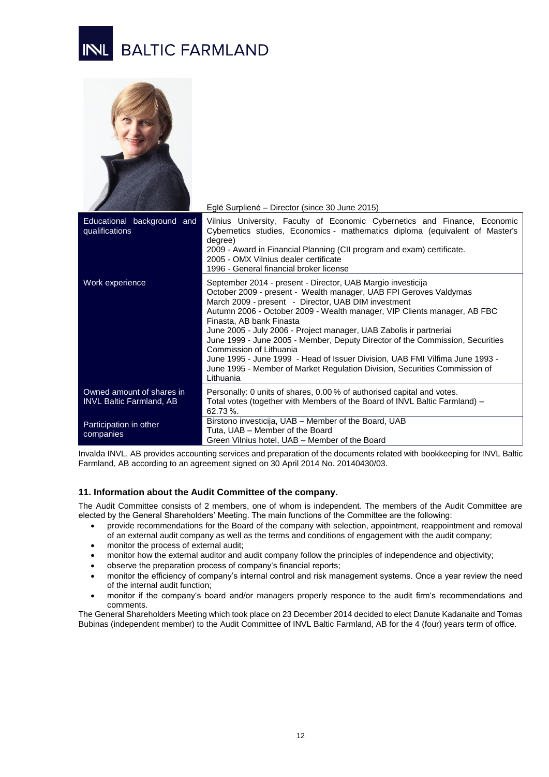# **BALTIC FARMLAND**



|                                                              | Eglė Surplienė – Director (since 30 June 2015)                                                                                                                                                                                                                                                                                                                                                                                                                                                                                                                                                                                                               |
|--------------------------------------------------------------|--------------------------------------------------------------------------------------------------------------------------------------------------------------------------------------------------------------------------------------------------------------------------------------------------------------------------------------------------------------------------------------------------------------------------------------------------------------------------------------------------------------------------------------------------------------------------------------------------------------------------------------------------------------|
| Educational background and<br>qualifications                 | Vilnius University, Faculty of Economic Cybernetics and Finance, Economic<br>Cybernetics studies, Economics - mathematics diploma (equivalent of Master's<br>degree)<br>2009 - Award in Financial Planning (CII program and exam) certificate.<br>2005 - OMX Vilnius dealer certificate<br>1996 - General financial broker license                                                                                                                                                                                                                                                                                                                           |
| Work experience                                              | September 2014 - present - Director, UAB Margio investicija<br>October 2009 - present - Wealth manager, UAB FPI Geroves Valdymas<br>March 2009 - present - Director, UAB DIM investment<br>Autumn 2006 - October 2009 - Wealth manager, VIP Clients manager, AB FBC<br>Finasta, AB bank Finasta<br>June 2005 - July 2006 - Project manager, UAB Zabolis ir partneriai<br>June 1999 - June 2005 - Member, Deputy Director of the Commission, Securities<br>Commission of Lithuania<br>June 1995 - June 1999 - Head of Issuer Division, UAB FMI Vilfima June 1993 -<br>June 1995 - Member of Market Regulation Division, Securities Commission of<br>Lithuania |
| Owned amount of shares in<br><b>INVL Baltic Farmland, AB</b> | Personally: 0 units of shares, 0.00% of authorised capital and votes.<br>Total votes (together with Members of the Board of INVL Baltic Farmland) –<br>62.73%                                                                                                                                                                                                                                                                                                                                                                                                                                                                                                |
| Participation in other<br>companies                          | Birstono investicija, UAB - Member of the Board, UAB<br>Tuta, UAB - Member of the Board<br>Green Vilnius hotel, UAB - Member of the Board                                                                                                                                                                                                                                                                                                                                                                                                                                                                                                                    |

Invalda INVL, AB provides accounting services and preparation of the documents related with bookkeeping for INVL Baltic Farmland, AB according to an agreement signed on 30 April 2014 No. 20140430/03.

# <span id="page-11-0"></span>**11. Information about the Audit Committee of the company.**

The Audit Committee consists of 2 members, one of whom is independent. The members of the Audit Committee are elected by the General Shareholders' Meeting. The main functions of the Committee are the following:

- provide recommendations for the Board of the company with selection, appointment, reappointment and removal of an external audit company as well as the terms and conditions of engagement with the audit company;
- monitor the process of external audit;
- monitor how the external auditor and audit company follow the principles of independence and objectivity;
- observe the preparation process of company's financial reports;
- monitor the efficiency of company's internal control and risk management systems. Once a year review the need of the internal audit function;
- monitor if the company's board and/or managers properly responce to the audit firm's recommendations and comments.

The General Shareholders Meeting which took place on 23 December 2014 decided to elect Danute Kadanaite and Tomas Bubinas (independent member) to the Audit Committee of INVL Baltic Farmland, AB for the 4 (four) years term of office.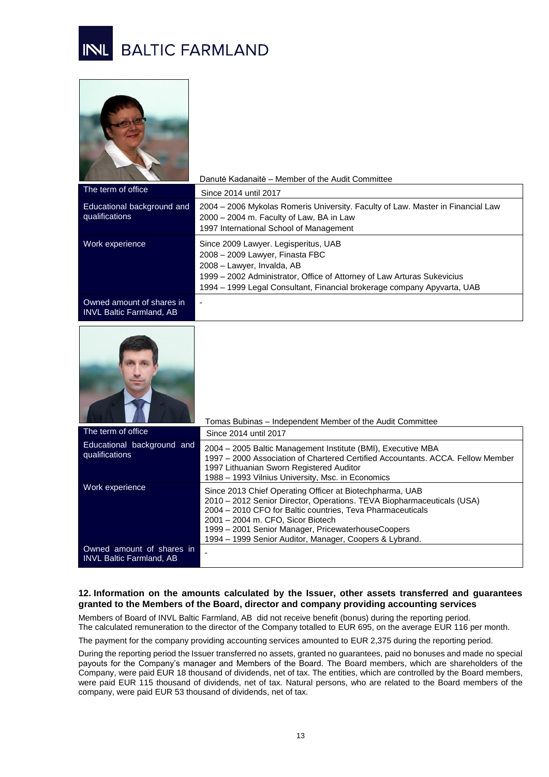



|                                                              | Danutė Kadanaitė – Member of the Audit Committee                                                                                                                                                                                                            |
|--------------------------------------------------------------|-------------------------------------------------------------------------------------------------------------------------------------------------------------------------------------------------------------------------------------------------------------|
| The term of office                                           | Since 2014 until 2017                                                                                                                                                                                                                                       |
| Educational background and<br>qualifications                 | 2004 – 2006 Mykolas Romeris University. Faculty of Law. Master in Financial Law<br>2000 - 2004 m. Faculty of Law, BA in Law<br>1997 International School of Management                                                                                      |
| Work experience                                              | Since 2009 Lawyer. Legisperitus, UAB<br>2008 - 2009 Lawyer, Finasta FBC<br>2008 - Lawyer, Invalda, AB<br>1999 – 2002 Administrator, Office of Attorney of Law Arturas Sukevicius<br>1994 – 1999 Legal Consultant, Financial brokerage company Apyvarta, UAB |
| Owned amount of shares in<br><b>INVL Baltic Farmland, AB</b> |                                                                                                                                                                                                                                                             |



|                                                              | Tomas Bubinas – Independent Member of the Audit Committee                                                                                                                                                                                                                                                                                              |
|--------------------------------------------------------------|--------------------------------------------------------------------------------------------------------------------------------------------------------------------------------------------------------------------------------------------------------------------------------------------------------------------------------------------------------|
| The term of office                                           | Since 2014 until 2017                                                                                                                                                                                                                                                                                                                                  |
| Educational background and<br>qualifications                 | 2004 – 2005 Baltic Management Institute (BMI), Executive MBA<br>1997 – 2000 Association of Chartered Certified Accountants, ACCA, Fellow Member<br>1997 Lithuanian Sworn Registered Auditor<br>1988 - 1993 Vilnius University, Msc. in Economics                                                                                                       |
| Work experience                                              | Since 2013 Chief Operating Officer at Biotechpharma, UAB<br>2010 - 2012 Senior Director, Operations. TEVA Biopharmaceuticals (USA)<br>2004 – 2010 CFO for Baltic countries, Teva Pharmaceuticals<br>2001 - 2004 m. CFO, Sicor Biotech<br>1999 - 2001 Senior Manager, PricewaterhouseCoopers<br>1994 - 1999 Senior Auditor, Manager, Coopers & Lybrand. |
| Owned amount of shares in<br><b>INVL</b> Baltic Farmland, AB |                                                                                                                                                                                                                                                                                                                                                        |

# <span id="page-12-0"></span>**12. Information on the amounts calculated by the Issuer, other assets transferred and guarantees granted to the Members of the Board, director and company providing accounting services**

Members of Board of INVL Baltic Farmland, AB did not receive benefit (bonus) during the reporting period. The calculated remuneration to the director of the Company totalled to EUR 695, on the average EUR 116 per month.

The payment for the company providing accounting services amounted to EUR 2,375 during the reporting period.

During the reporting period the Issuer transferred no assets, granted no guarantees, paid no bonuses and made no special payouts for the Company's manager and Members of the Board. The Board members, which are shareholders of the Company, were paid EUR 18 thousand of dividends, net of tax. The entities, which are controlled by the Board members, were paid EUR 115 thousand of dividends, net of tax. Natural persons, who are related to the Board members of the company, were paid EUR 53 thousand of dividends, net of tax.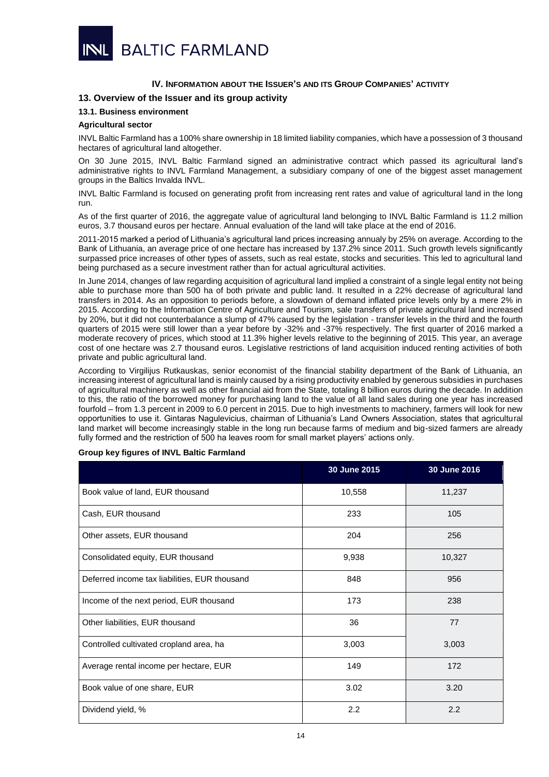

# **IV. INFORMATION ABOUT THE ISSUER'S AND ITS GROUP COMPANIES' ACTIVITY**

# <span id="page-13-1"></span><span id="page-13-0"></span>**13. Overview of the Issuer and its group activity**

# <span id="page-13-2"></span>**13.1. Business environment**

#### **Agricultural sector**

INVL Baltic Farmland has a 100% share ownership in 18 limited liability companies, which have a possession of 3 thousand hectares of agricultural land altogether.

On 30 June 2015, INVL Baltic Farmland signed an administrative contract which passed its agricultural land's administrative rights to INVL Farmland Management, a subsidiary company of one of the biggest asset management groups in the Baltics Invalda INVL.

INVL Baltic Farmland is focused on generating profit from increasing rent rates and value of agricultural land in the long run.

As of the first quarter of 2016, the aggregate value of agricultural land belonging to INVL Baltic Farmland is 11.2 million euros, 3.7 thousand euros per hectare. Annual evaluation of the land will take place at the end of 2016.

2011-2015 marked a period of Lithuania's agricultural land prices increasing annualy by 25% on average. According to the Bank of Lithuania, an average price of one hectare has increased by 137.2% since 2011. Such growth levels significantly surpassed price increases of other types of assets, such as real estate, stocks and securities. This led to agricultural land being purchased as a secure investment rather than for actual agricultural activities.

In June 2014, changes of law regarding acquisition of agricultural land implied a constraint of a single legal entity not being able to purchase more than 500 ha of both private and public land. It resulted in a 22% decrease of agricultural land transfers in 2014. As an opposition to periods before, a slowdown of demand inflated price levels only by a mere 2% in 2015. According to the Information Centre of Agriculture and Tourism, sale transfers of private agricultural land increased by 20%, but it did not counterbalance a slump of 47% caused by the legislation - transfer levels in the third and the fourth quarters of 2015 were still lower than a year before by -32% and -37% respectively. The first quarter of 2016 marked a moderate recovery of prices, which stood at 11.3% higher levels relative to the beginning of 2015. This year, an average cost of one hectare was 2.7 thousand euros. Legislative restrictions of land acquisition induced renting activities of both private and public agricultural land.

According to Virgilijus Rutkauskas, senior economist of the financial stability department of the Bank of Lithuania, an increasing interest of agricultural land is mainly caused by a rising productivity enabled by generous subsidies in purchases of agricultural machinery as well as other financial aid from the State, totaling 8 billion euros during the decade. In addition to this, the ratio of the borrowed money for purchasing land to the value of all land sales during one year has increased fourfold – from 1.3 percent in 2009 to 6.0 percent in 2015. Due to high investments to machinery, farmers will look for new opportunities to use it. Gintaras Nagulevicius, chairman of Lithuania's Land Owners Association, states that agricultural land market will become increasingly stable in the long run because farms of medium and big-sized farmers are already fully formed and the restriction of 500 ha leaves room for small market players' actions only.

#### **Group key figures of INVL Baltic Farmland**

|                                               | 30 June 2015 | 30 June 2016 |
|-----------------------------------------------|--------------|--------------|
| Book value of land, EUR thousand              | 10,558       | 11,237       |
| Cash, EUR thousand                            | 233          | 105          |
| Other assets, EUR thousand                    | 204          | 256          |
| Consolidated equity, EUR thousand             | 9,938        | 10,327       |
| Deferred income tax liabilities, EUR thousand | 848          | 956          |
| Income of the next period, EUR thousand       | 173          | 238          |
| Other liabilities, EUR thousand               | 36           | 77           |
| Controlled cultivated cropland area, ha       | 3,003        | 3,003        |
| Average rental income per hectare, EUR        | 149          | 172          |
| Book value of one share, EUR                  | 3.02         | 3.20         |
| Dividend yield, %                             | 2.2          | 2.2          |